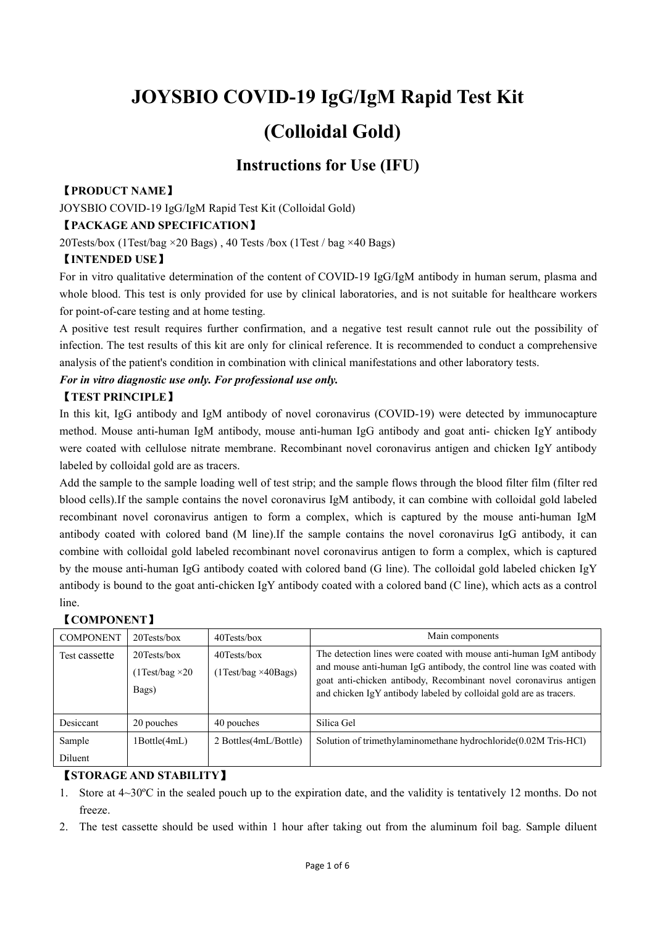# **JOYSBIO COVID-19 IgG/IgM Rapid Test Kit (Colloidal Gold)**

# **Instructions for Use (IFU)**

#### 【**PRODUCT NAME**】

JOYSBIO COVID-19 IgG/IgM Rapid Test Kit (Colloidal Gold)

### 【**PACKAGE AND SPECIFICATION**】

20Tests/box (1Test/bag ×20 Bags) , 40 Tests /box (1Test / bag ×40 Bags)

## 【**INTENDED USE**】

For in vitro qualitative determination of the content of COVID-19 IgG/IgM antibody in human serum, plasma and whole blood. This test is only provided for use by clinical laboratories, and is not suitable for healthcare workers for point-of-care testing and at home testing.

A positive test result requires further confirmation, and a negative test result cannot rule out the possibility of infection. The test results of this kit are only for clinical reference. It is recommended to conduct a comprehensive analysis ofthe patient's condition in combination with clinical manifestations and other laboratory tests.

#### *For in vitro diagnostic use only. For professional use only.*

#### 【**TEST PRINCIPLE**】

In this kit, IgG antibody and IgM antibody of novel coronavirus (COVID-19) were detected by immunocapture method. Mouse anti-human IgM antibody, mouse anti-human IgG antibody and goat anti- chicken IgY antibody were coated with cellulose nitrate membrane. Recombinant novel coronavirus antigen and chicken IgY antibody labeled by colloidal gold are as tracers.

Add the sample to the sample loading well of test strip; and the sample flows through the blood filter film (filter red blood cells).If the sample contains the novel coronavirus IgM antibody, it can combine with colloidal gold labeled recombinant novel coronavirus antigen to form a complex, which is captured by the mouse anti-human IgM antibody coated with colored band (M line).If the sample contains the novel coronavirus IgG antibody, it can combine with colloidal gold labeled recombinant novel coronavirus antigen to form a complex, which is captured by the mouse anti-human IgG antibody coated with colored band (G line). The colloidal gold labeled chicken IgY antibody is bound to the goat anti-chicken IgY antibody coated with a colored band (C line), which acts as a control line.

#### 【**COMPONENT**】

| <b>COMPONENT</b> | $20$ Tests/box                                    | 40Tests/box                                   | Main components                                                                                                                                                                                                                                                                      |
|------------------|---------------------------------------------------|-----------------------------------------------|--------------------------------------------------------------------------------------------------------------------------------------------------------------------------------------------------------------------------------------------------------------------------------------|
| Test cassette    | 20Tests/box<br>$(1$ Test/bag $\times 20$<br>Bags) | $40$ Tests/box<br>$(1Test/bag \times 40Bags)$ | The detection lines were coated with mouse anti-human IgM antibody<br>and mouse anti-human IgG antibody, the control line was coated with<br>goat anti-chicken antibody, Recombinant novel coronavirus antigen<br>and chicken IgY antibody labeled by colloidal gold are as tracers. |
| Desiccant        | 20 pouches                                        | 40 pouches                                    | Silica Gel                                                                                                                                                                                                                                                                           |
| Sample           | 1Bottle(4mL)                                      | 2 Bottles (4mL/Bottle)                        | Solution of trimethylaminomethane hydrochloride (0.02M Tris-HCl)                                                                                                                                                                                                                     |
| Diluent          |                                                   |                                               |                                                                                                                                                                                                                                                                                      |

## 【**STORAGE AND STABILITY**】

- 1. Store at  $4{\sim}30^{\circ}\text{C}$  in the sealed pouch up to the expiration date, and the validity is tentatively 12 months. Do not freeze.
- 2. The test cassette should be used within 1 hourafter taking out from the aluminum foil bag. Sample diluent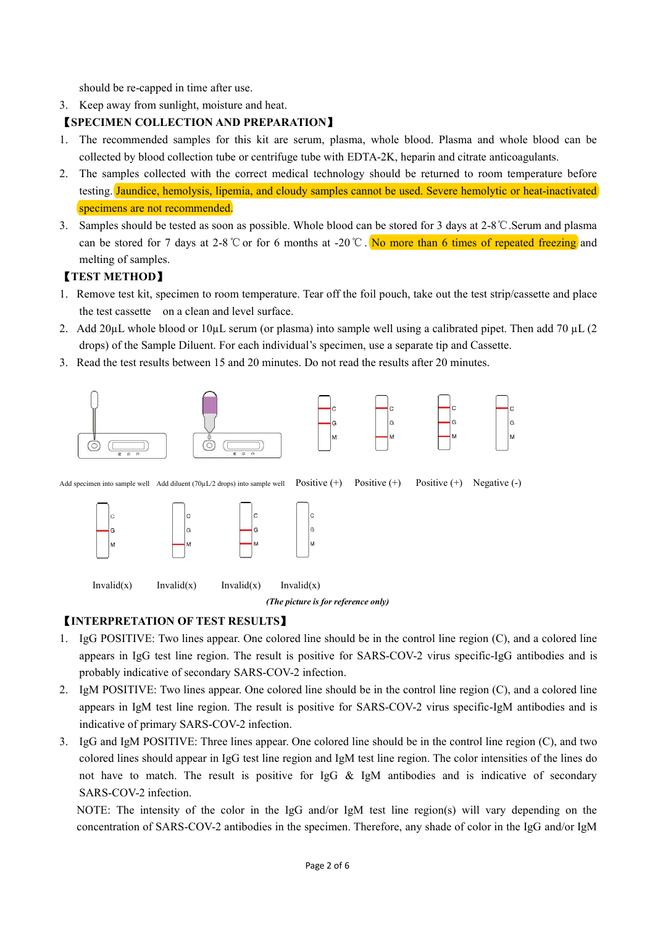should be re-capped in time after use.

3. Keep away from sunlight, moisture and heat.

## 【**SPECIMEN COLLECTION AND PREPARATION**】

- 1. The recommended samples for this kit are serum, plasma, whole blood. Plasma and whole blood can be collected by blood collection tube or centrifuge tube with EDTA-2K, heparin and citrate anticoagulants.
- 2. The samples collected with the correct medical technology should be returned to room temperature before testing. Jaundice, hemolysis, lipemia, and cloudy samples cannot be used. Severe hemolytic or heat-inactivated specimens are not recommended.
- 3. Samples should be tested as soon as possible. Whole blood can be stored for 3 daysat 2-8℃.Serum and plasma can be stored for 7 days at 2-8 ℃ or for 6 months at -20 ℃. No more than 6 times of repeated freezing and melting of samples.

## 【**TEST METHOD**】

- 1. Remove test kit, specimen to room temperature. Tear off the foil pouch, take out the test strip/cassette and place the test cassette on a clean and level surface.
- 2. Add 20µL whole blood or 10µL serum (or plasma) into sample well using a calibrated pipet. Then add 70 µL (2) drops) of the Sample Diluent. For each individual's specimen, use a separate tip and Cassette.
- 3. Read the test results between 15 and 20 minutes. Do not read the results after 20 minutes.



Add specimen into sample well Add diluent (70µL/2 drops) into sample well Positive  $(+)$  Positive  $(+)$  Positive  $(+)$  Negative  $(-)$ 



 $Invalid(x)$  Invalid(x) Invalid(x) Invalid(x)

*(The picture isfor reference only)*

## 【**INTERPRETATION OF TEST RESULTS**】

- 1. IgG POSITIVE: Two lines appear. One colored line should be in the control line region (C), and a colored line appears in IgG test line region. The result is positive for SARS-COV-2 virus specific-IgG antibodies and is probably indicative of secondary SARS-COV-2 infection.
- 2. IgM POSITIVE: Two lines appear. One colored line should be in the control line region (C), and a colored line appears in IgM test line region. The result is positive for SARS-COV-2 virus specific-IgM antibodies and is indicative of primary SARS-COV-2 infection.
- 3. IgG and IgM POSITIVE: Three lines appear. One colored line should be in the control line region (C), and two colored lines should appear in IgG test line region and IgM test line region. The color intensities of the lines do not have to match. The result is positive for IgG & IgM antibodies and is indicative of secondary SARS-COV-2 infection.

NOTE: The intensity of the color in the IgG and/or IgM test line region(s) will vary depending on the concentration of SARS-COV-2 antibodies in the specimen. Therefore, any shade of color in the IgG and/or IgM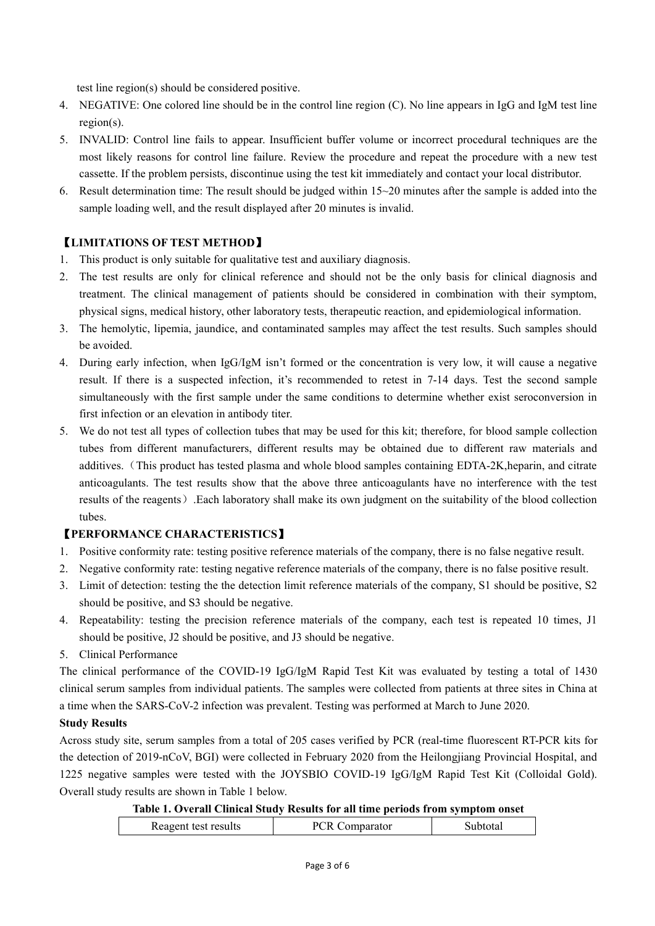test line region(s) should be considered positive.

- 4. NEGATIVE: One colored line should be in the control line region (C). No line appears in IgG and IgM test line region(s).
- 5. INVALID: Control line fails to appear. Insufficient buffer volume or incorrect procedural techniques are the most likely reasons for control line failure. Review the procedure and repeat the procedure with a new test cassette. If the problem persists, discontinue using the test kit immediately and contact your local distributor.
- 6. Result determination time: The result should be judged within  $15~20$  minutes after the sample is added into the sample loading well, and the result displayed after 20 minutes is invalid.

## 【**LIMITATIONS OF TEST METHOD**】

- 1. This product is only suitable for qualitative test and auxiliary diagnosis.
- 2. The test results are only for clinical reference and should not be the only basis for clinical diagnosis and treatment. The clinical management of patients should be considered in combination with their symptom, physical signs, medical history, other laboratory tests, therapeutic reaction,and epidemiological information.
- 3. The hemolytic, lipemia, jaundice, and contaminated samples may affect the test results. Such samples should
- be avoided.<br>4. During early infection, when IgG/IgM isn't formed or the concentration is very low, it will cause a negative result. If there is a suspected infection, it's recommended to retest in 7-14 days. Test the second sample simultaneously with the first sample under the same conditions to determine whether exist seroconversion in first infection or an elevation in antibody titer.
- 5. We do not test all types of collection tubes that may be used for this kit; therefore, for blood sample collection tubes from different manufacturers, different results may be obtained due to different raw materials and additives. (This product has tested plasma and whole blood samples containing EDTA-2K,heparin, and citrate anticoagulants. The test results show that the above three anticoagulants have no interference with the test results of the reagents). Each laboratory shall make its own judgment on the suitability of the blood collection tubes.

## 【**PERFORMANCE CHARACTERISTICS**】

- 1. Positive conformity rate: testing positive reference materials ofthe company, there is no false negative result.
- 2. Negative conformity rate: testing negative reference materials of the company, there is no false positive result.
- 3. Limit of detection: testing the the detection limit reference materials of the company, S1 should be positive, S2 should be positive, and S3 should be negative.
- 4. Repeatability: testing the precision reference materials of the company, each test is repeated 10 times, J1 should be positive, J2 should be positive, and J3 should be negative.

#### 5. Clinical Performance

The clinical performance of the COVID-19 IgG/IgM Rapid Test Kit was evaluated by testing a total of 1430 clinical serum samples from individual patients. The samples were collected from patients at three sites in China at a time when the SARS-CoV-2 infection was prevalent. Testing was performed at March to June 2020.

## **Study Results**

Across study site, serum samples from a total of 205 cases verified by PCR (real-timefluorescent RT-PCR kits for the detection of 2019-nCoV, BGI) were collected in February 2020 from the Heilongjiang Provincial Hospital, and 1225 negative samples were tested with the JOYSBIO COVID-19 IgG/IgM Rapid Test Kit (Colloidal Gold). Overall study results are shown in Table 1 below.

#### **Table 1. Overall Clinical Study Results for all time periods from symptom onset**

|  | Reagent test results | purutor |  |
|--|----------------------|---------|--|
|--|----------------------|---------|--|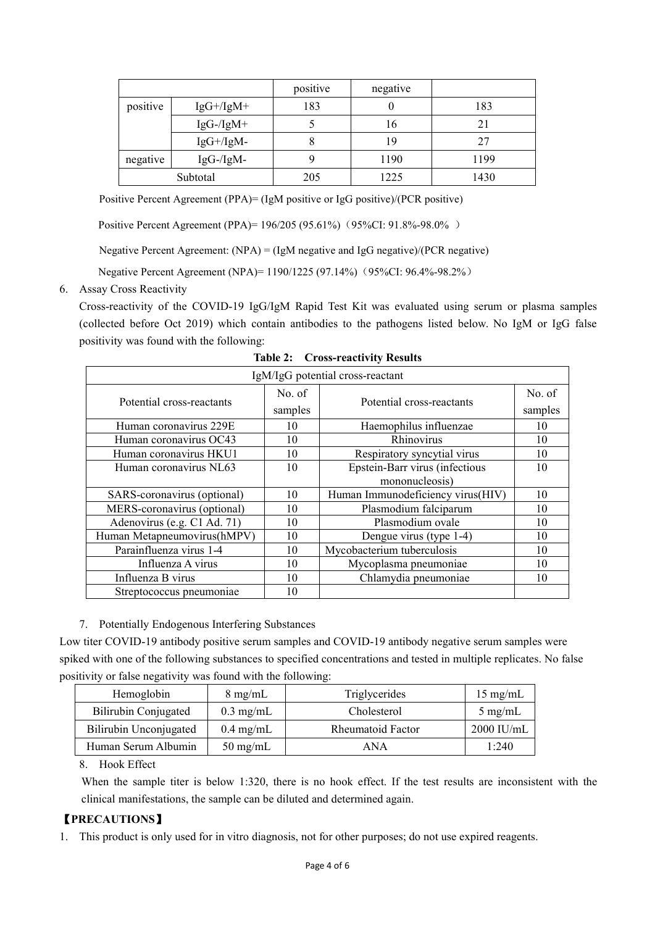|          |                      | positive | negative |      |
|----------|----------------------|----------|----------|------|
| positive | $IgG+ / IgM+$        | 183      | v        | 183  |
|          | $IgG$ -/ $IgM+$      |          | 16       | 21   |
|          | $IgG+/\mathrm{IgM-}$ | O        | 19       | 27   |
| negative | $IgG$ -/IgM-         |          | 1190     | 1199 |
|          | Subtotal             | 205      | 1225     | 1430 |

Positive Percent Agreement (PPA)= (IgM positive or IgG positive)/(PCR positive)

Positive Percent Agreement (PPA)= 196/205 (95.61%) (95%CI: 91.8%-98.0%)

Negative Percent Agreement: (NPA) = (IgM negative and IgG negative)/(PCR negative)

Negative Percent Agreement (NPA)= 1190/1225 (97.14%) (95%CI: 96.4%-98.2%)

6. Assay Cross Reactivity

Cross-reactivity of the COVID-19 IgG/IgM Rapid Test Kit was evaluated using serum or plasma samples (collected before Oct 2019) which contain antibodies to the pathogens listed below. No IgM or IgG false positivity was found with the following:

|                             |         | IgM/IgG potential cross-reactant  |         |
|-----------------------------|---------|-----------------------------------|---------|
|                             | No. of  |                                   | No. of  |
| Potential cross-reactants   | samples | Potential cross-reactants         | samples |
| Human coronavirus 229E      | 10      | Haemophilus influenzae            | 10      |
| Human coronavirus OC43      | 10      | Rhinovirus                        | 10      |
| Human coronavirus HKU1      | 10      | Respiratory syncytial virus       | 10      |
| Human coronavirus NL63      | 10      | Epstein-Barr virus (infectious    | 10      |
|                             |         | mononucleosis)                    |         |
| SARS-coronavirus (optional) | 10      | Human Immunodeficiency virus(HIV) | 10      |
| MERS-coronavirus (optional) | 10      | Plasmodium falciparum             | 10      |
| Adenovirus (e.g. C1 Ad. 71) | 10      | Plasmodium ovale                  | 10      |
| Human Metapneumovirus(hMPV) | 10      | Dengue virus (type 1-4)           | 10      |
| Parainfluenza virus 1-4     | 10      | Mycobacterium tuberculosis        | 10      |
| Influenza A virus           | 10      | Mycoplasma pneumoniae             | 10      |
| Influenza B virus           | 10      | Chlamydia pneumoniae              | 10      |
| Streptococcus pneumoniae    | 10      |                                   |         |

**Table 2: Cross-reactivity Results**

7. Potentially Endogenous Interfering Substances

Low titer COVID-19 antibody positive serum samples and COVID-19 antibody negative serum samples were spiked with one of the following substances to specified concentrations and tested in multiple replicates. No false positivity or false negativity was found with the following:

| Hemoglobin             | $8 \text{ mg/mL}$   | Triglycerides            | $15 \text{ mg/mL}$ |
|------------------------|---------------------|--------------------------|--------------------|
| Bilirubin Conjugated   | $0.3$ mg/mL         | Cholesterol              | $5 \text{ mg/mL}$  |
| Bilirubin Unconjugated | $0.4 \text{ mg/mL}$ | <b>Rheumatoid Factor</b> | $2000$ IU/mL       |
| Human Serum Albumin    | $50 \text{ mg/mL}$  | ANA                      | 1:240              |

8. Hook Effect

When the sample titer is below 1:320, there is no hook effect. If the test results are inconsistent with the clinical manifestations, the sample can be diluted and determined again.

### 【**PRECAUTIONS**】

1. This product is only used for in vitro diagnosis, not for other purposes; do not use expired reagents.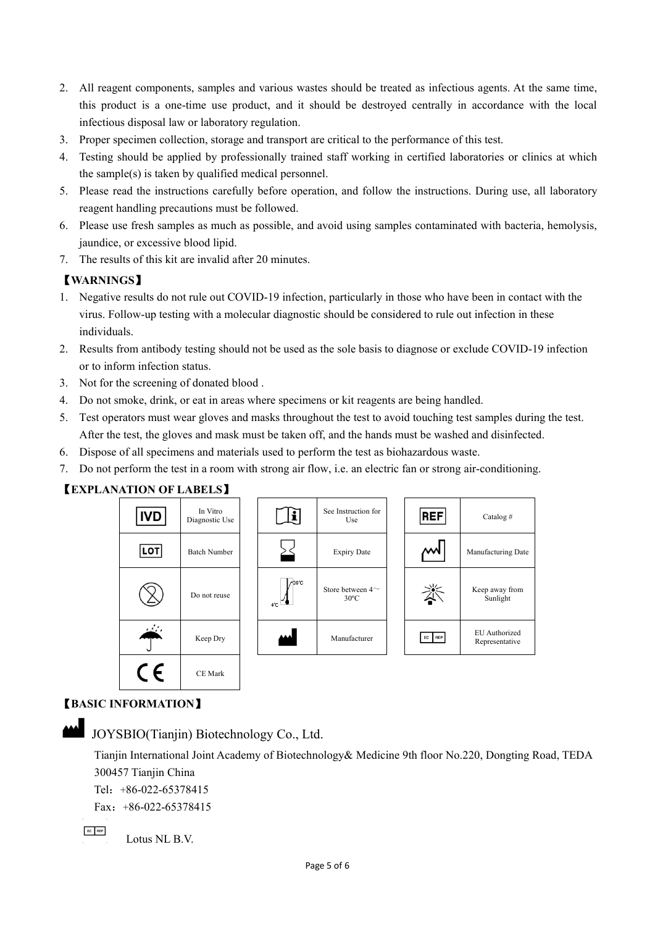- 2. All reagent components, samples and various wastes should be treated as infectious agents. At the same time, this product is a one-time use product, and it should be destroyed centrally in accordance with the local infectious disposal law or laboratory regulation.
- 3. Proper specimen collection, storage and transport are critical to the performance of this test.
- 4. Testing should be applied by professionally trained staff working in certified laboratories or clinics at which the sample(s) is taken by qualified medical personnel.
- 5. Please read the instructions carefully before operation, and follow the instructions. During use, all laboratory reagent handling precautions must be followed.
- 6. Please use fresh samples as much as possible, and avoid using samples contaminated with bacteria, hemolysis, jaundice, or excessive blood lipid.
- 7. The results of this kit are invalid after 20 minutes.

## 【**WARNINGS**】

- 1. Negative results do not rule out COVID-19 infection, particularly in those who have been in contactwith the virus. Follow-up testing with a molecular diagnostic should be considered to rule out infection in these individuals.
- 2. Results from antibody testing should not be used as the sole basis to diagnose or exclude COVID-19 infection or to inform infection status.
- 3. Not for the screening of donated blood .
- 4. Do not smoke, drink, or eat in areas where specimens or kit reagents are being handled.
- 5. Test operators must wear gloves and masks throughout the test to avoid touching test samples during the test. After the test, the gloves and mask must be taken off, and the hands must be washed and disinfected.
- 6. Dispose of all specimens and materials used to perform the test as biohazardous waste.
- 7. Do not perform the test in a room with strong air flow, i.e. an electric fan or strong air-conditioning.

#### 【**EXPLANATION OF LABELS**】





## 【**BASIC INFORMATION**】

JOYSBIO(Tianjin) Biotechnology Co., Ltd.

Tianjin International Joint Academy of Biotechnology& Medicine 9th floor No.220, Dongting Road, TEDA 300457 Tianjin China

Tel:+86-022-65378415

Fax:  $+86-022-65378415$ 

 $EC$  REP

Lotus NL B.V.